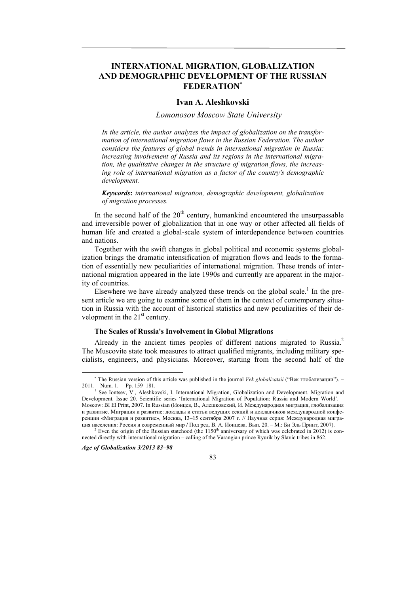# **INTERNATIONAL MIGRATION, GLOBALIZATION AND DEMOGRAPHIC DEVELOPMENT OF THE RUSSIAN FEDERATION**

## **Ivan A. Aleshkovski**

*Lomonosov Moscow State University* 

*In the article, the author analyzes the impact of globalization on the transformation of international migration flows in the Russian Federation. The author considers the features of global trends in international migration in Russia: increasing involvement of Russia and its regions in the international migration, the qualitative changes in the structure of migration flows, the increasing role of international migration as a factor of the country's demographic development.* 

*Keywords***:** *international migration, demographic development, globalization of migration processes.* 

In the second half of the  $20<sup>th</sup>$  century, humankind encountered the unsurpassable and irreversible power of globalization that in one way or other affected all fields of human life and created a global-scale system of interdependence between countries and nations.

Together with the swift changes in global political and economic systems globalization brings the dramatic intensification of migration flows and leads to the formation of essentially new peculiarities of international migration. These trends of international migration appeared in the late 1990s and currently are apparent in the majority of countries.

Elsewhere we have already analyzed these trends on the global scale.<sup>1</sup> In the present article we are going to examine some of them in the context of contemporary situation in Russia with the account of historical statistics and new peculiarities of their development in the  $21<sup>st</sup>$  century.

### **The Scales of Russia's Involvement in Global Migrations**

Already in the ancient times peoples of different nations migrated to Russia.<sup>2</sup> The Muscovite state took measures to attract qualified migrants, including military specialists, engineers, and physicians. Moreover, starting from the second half of the

*Age of Globalization 3/2013 83–98* 

l



<sup>&</sup>lt;sup>\*</sup> The Russian version of this article was published in the journal *Vek globalizatsii* ("Век глобализации"). - $2011. - Num. 1. - Pp. 159-181.$ 

See Iontsev, V., Aleshkovski, I. International Migration, Globalization and Development. Migration and Development. Issue 20. Scientific series 'International Migration of Population: Russia and Modern World'. – Moscow: BI El Print, 2007. In Russian (Ионцев, В., Алешковский, И. Международная миграция, глобализация и развитие. Миграция и развитие: доклады и статьи ведущих секций и докладчиков международной конференции «Миграция и развитие», Москва, 13–15 сентября 2007 г. // Научная серия: Международная миграция населения: Россия <sup>и</sup> современный мир **/** Под ред. В. А. Ионцева. Вып. 20. – М.: Би Эль Принт, 2007). 2

<sup>&</sup>lt;sup>2</sup> Even the origin of the Russian statehood (the  $1150<sup>th</sup>$  anniversary of which was celebrated in 2012) is connected directly with international migration – calling of the Varangian prince Ryurik by Slavic tribes in 862.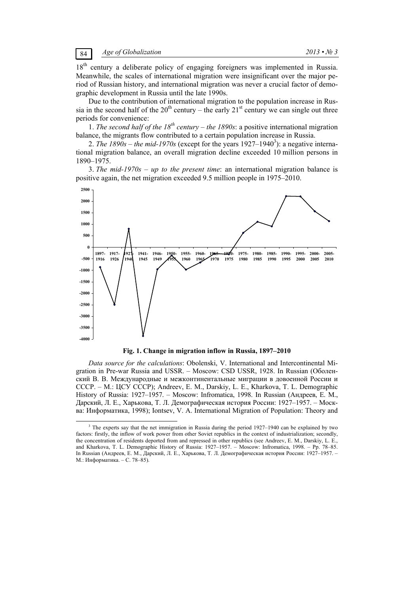18<sup>th</sup> century a deliberate policy of engaging foreigners was implemented in Russia. Meanwhile, the scales of international migration were insignificant over the major period of Russian history, and international migration was never a crucial factor of demographic development in Russia until the late 1990s.

Due to the contribution of international migration to the population increase in Russia in the second half of the  $20<sup>th</sup>$  century – the early  $21<sup>st</sup>$  century we can single out three periods for convenience:

1. *The second half of the 18<sup>th</sup> century – the 1890s*: a positive international migration balance, the migrants flow contributed to a certain population increase in Russia.

2. *The 1890s – the mid-1970s* (except for the years 1927–1940<sup>3</sup>): a negative international migration balance, an overall migration decline exceeded 10 million persons in 1890–1975.

3. *The mid-1970s – up to the present time*: an international migration balance is positive again, the net migration exceeded 9.5 million people in 1975–2010.



**Fig. 1. Change in migration inflow in Russia, 1897–2010** 

*Data source for the calculations*: Obolenski, V. International and Intercontinental Migration in Pre-war Russia and USSR. – Moscow: CSD USSR, 1928. In Russian (Оболенский В. В. Международные и межконтинентальные миграции в довоенной России и СССР. – М.: ЦСУ СССР); Andreev, E. M., Darskiy, L. E., Kharkova, T. L. Demographic History of Russia: 1927–1957. – Moscow: Infromatica, 1998. In Russian (Андреев, Е. М., Дарский, Л. Е., Харькова, Т. Л. Демографическая история России: 1927–1957. – Москва: Информатика, 1998); Iontsev, V. A. International Migration of Population: Theory and

 $\frac{1}{3}$ <sup>3</sup> The experts say that the net immigration in Russia during the period  $1927-1940$  can be explained by two factors: firstly, the inflow of work power from other Soviet republics in the context of industrialization; secondly, the concentration of residents deported from and repressed in other republics (see Andreev, E. M., Darskiy, L. E., and Kharkova, T. L. Demographic History of Russia: 1927–1957. – Moscow: Infromatica, 1998. – Рp. 78–85. In Russian (Андреев, Е. М., Дарский, Л. Е., Харькова, Т. Л. Демографическая история России: 1927–1957. – М.: Информатика. – С. 78–85).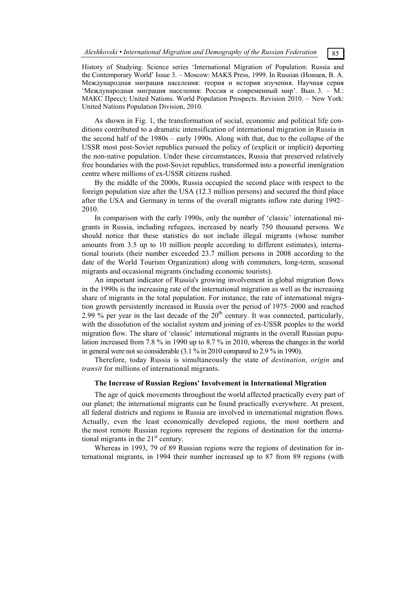History of Studying. Science series 'International Migration of Population: Russia and the Contemporary World' Issue 3. – Moscow: MAKS Press, 1999. In Russian (Ионцев, В. А. Международная миграция населения: теория и история изучения. Научная серия 'Международная миграция населения: Россия и современный мир'. Вып. 3. – М.: МАКС Пресс); United Nations. World Population Prospects. Revision 2010. – New York: United Nations Population Division, 2010.

As shown in Fig. 1, the transformation of social, economic and political life conditions contributed to a dramatic intensification of international migration in Russia in the second half of the 1980s – early 1990s. Along with that, due to the collapse of the USSR most post-Soviet republics pursued the policy of (explicit or implicit) deporting the non-native population. Under these circumstances, Russia that preserved relatively free boundaries with the post-Soviet republics, transformed into a powerful immigration centre where millions of ex-USSR citizens rushed.

By the middle of the 2000s, Russia occupied the second place with respect to the foreign population size after the USA (12.3 million persons) and secured the third place after the USA and Germany in terms of the overall migrants inflow rate during 1992– 2010.

In comparison with the early 1990s, only the number of 'classic' international migrants in Russia, including refugees, increased by nearly 750 thousand persons. We should notice that these statistics do not include illegal migrants (whose number amounts from 3.5 up to 10 million people according to different estimates), international tourists (their number exceeded 23.7 million persons in 2008 according to the date of the World Tourism Organization) along with commuters, long-term, seasonal migrants and occasional migrants (including economic tourists).

An important indicator of Russia's growing involvement in global migration flows in the 1990s is the increasing rate of the international migration as well as the increasing share of migrants in the total population. For instance, the rate of international migration growth persistently increased in Russia over the period of 1975–2000 and reached 2.99 % per year in the last decade of the  $20<sup>th</sup>$  century. It was connected, particularly, with the dissolution of the socialist system and joining of ex-USSR peoples to the world migration flow. The share of 'classic' international migrants in the overall Russian population increased from 7.8 % in 1990 up to 8.7 % in 2010, whereas the changes in the world in general were not so considerable (3.1 % in 2010 compared to 2.9 % in 1990).

Therefore, today Russia is simultaneously the state of *destination*, *origin* and *transit* for millions of international migrants.

## **The Increase of Russian Regions' Involvement in International Migration**

The age of quick movements throughout the world affected practically every part of our planet; the international migrants can be found practically everywhere. At present, all federal districts and regions in Russia are involved in international migration flows. Actually, even the least economically developed regions, the most northern and the most remote Russian regions represent the regions of destination for the international migrants in the  $21<sup>st</sup>$  century.

Whereas in 1993, 79 of 89 Russian regions were the regions of destination for international migrants, in 1994 their number increased up to 87 from 89 regions (with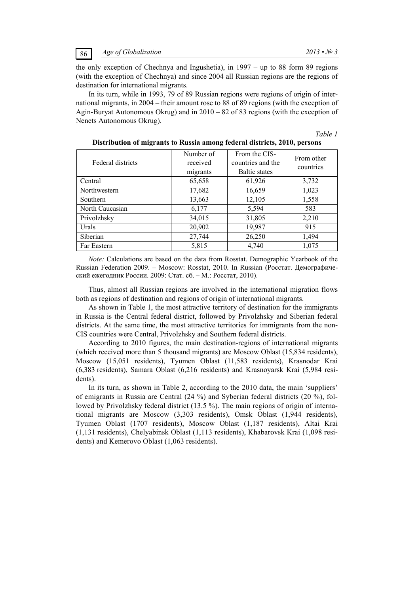the only exception of Chechnya and Ingushetia), in 1997 – up to 88 form 89 regions (with the exception of Chechnya) and since 2004 all Russian regions are the regions of destination for international migrants.

In its turn, while in 1993, 79 of 89 Russian regions were regions of origin of international migrants, in 2004 – their amount rose to 88 of 89 regions (with the exception of Agin-Buryat Autonomous Okrug) and in 2010 – 82 of 83 regions (with the exception of Nenets Autonomous Okrug).

## *Table 1*

| Federal districts | Number of<br>received<br>migrants | From the CIS-<br>countries and the<br><b>Baltic</b> states | From other<br>countries |
|-------------------|-----------------------------------|------------------------------------------------------------|-------------------------|
| Central           | 65,658                            | 61,926                                                     | 3,732                   |
| Northwestern      | 17,682                            | 16,659                                                     | 1,023                   |
| Southern          | 13,663                            | 12,105                                                     | 1,558                   |
| North Caucasian   | 6,177                             | 5,594                                                      | 583                     |
| Privolzhsky       | 34,015                            | 31,805                                                     | 2,210                   |
| Urals             | 20,902                            | 19,987                                                     | 915                     |
| Siberian          | 27,744                            | 26,250                                                     | 1,494                   |
| Far Eastern       | 5,815                             | 4,740                                                      | 1,075                   |

| Distribution of migrants to Russia among federal districts, 2010, persons |  |  |
|---------------------------------------------------------------------------|--|--|
|                                                                           |  |  |

*Note:* Calculations are based on the data from Rosstat. Demographic Yearbook of the Russian Federation 2009. – Moscow: Rosstat, 2010. In Russian (Росстат. Демографический ежегодник России. 2009: Стат. сб. – M.: Росстат, 2010).

Thus, almost all Russian regions are involved in the international migration flows both as regions of destination and regions of origin of international migrants.

As shown in Table 1, the most attractive territory of destination for the immigrants in Russia is the Central federal district, followed by Privolzhsky and Siberian federal districts. At the same time, the most attractive territories for immigrants from the non-CIS countries were Central, Privolzhsky and Southern federal districts.

According to 2010 figures, the main destination-regions of international migrants (which received more than 5 thousand migrants) are Moscow Oblast (15,834 residents), Moscow (15,051 residents), Tyumen Oblast (11,583 residents), Krasnodar Krai (6,383 residents), Samara Oblast (6,216 residents) and Krasnoyarsk Krai (5,984 residents).

In its turn, as shown in Table 2, according to the 2010 data, the main 'suppliers' of emigrants in Russia are Central (24 %) and Syberian federal districts (20 %), followed by Privolzhsky federal district (13.5 %). The main regions of origin of international migrants are Moscow (3,303 residents), Omsk Oblast (1,944 residents), Tyumen Oblast (1707 residents), Moscow Oblast (1,187 residents), Altai Krai (1,131 residents), Chelyabinsk Oblast (1,113 residents), Khabarovsk Krai (1,098 residents) and Kemerovo Oblast (1,063 residents).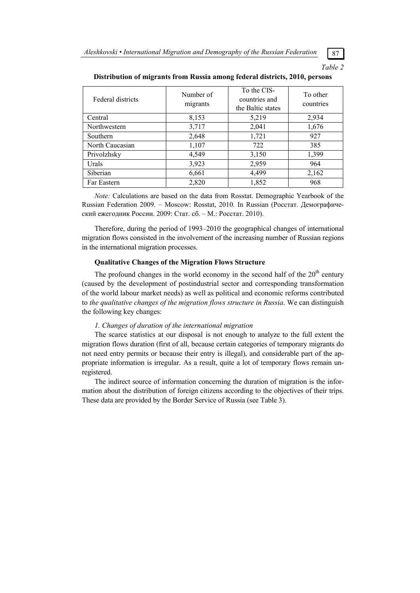*Table 2* 

| Federal districts | Number of<br>migrants | To the CIS-<br>countries and<br>the Baltic states | To other<br>countries |
|-------------------|-----------------------|---------------------------------------------------|-----------------------|
| Central           | 8,153                 | 5,219                                             | 2,934                 |
| Northwestern      | 3,717                 | 2,041                                             | 1,676                 |
| <b>Southern</b>   | 2,648                 | 1,721                                             | 927                   |
| North Caucasian   | 1,107                 | 722                                               | 385                   |
| Privolzhsky       | 4,549                 | 3,150                                             | 1,399                 |
| Urals             | 3,923                 | 2,959                                             | 964                   |
| Siberian          | 6,661                 | 4,499                                             | 2,162                 |
| Far Eastern       | 2,820                 | 1,852                                             | 968                   |

#### **Distribution of migrants from Russia among federal districts, 2010, persons**

*Note:* Calculations are based on the data from Rosstat. Demographic Yearbook of the Russian Federation 2009. – Moscow: Rosstat, 2010. In Russian (Росстат. Демографический ежегодник России. 2009: Стат. сб. – M.: Росстат. 2010).

Therefore, during the period of 1993–2010 the geographical changes of international migration flows consisted in the involvement of the increasing number of Russian regions in the international migration processes.

### **Qualitative Changes of the Migration Flows Structure**

The profound changes in the world economy in the second half of the  $20<sup>th</sup>$  century (caused by the development of postindustrial sector and corresponding transformation of the world labour market needs) as well as political and economic reforms contributed to *the qualitative changes of the migration flows structure in Russia*. We can distinguish the following key changes:

#### *1. Changes of duration of the international migration*

The scarce statistics at our disposal is not enough to analyze to the full extent the migration flows duration (first of all, because certain categories of temporary migrants do not need entry permits or because their entry is illegal), and considerable part of the appropriate information is irregular. As a result, quite a lot of temporary flows remain unregistered.

The indirect source of information concerning the duration of migration is the information about the distribution of foreign citizens according to the objectives of their trips. These data are provided by the Border Service of Russia (see Table 3).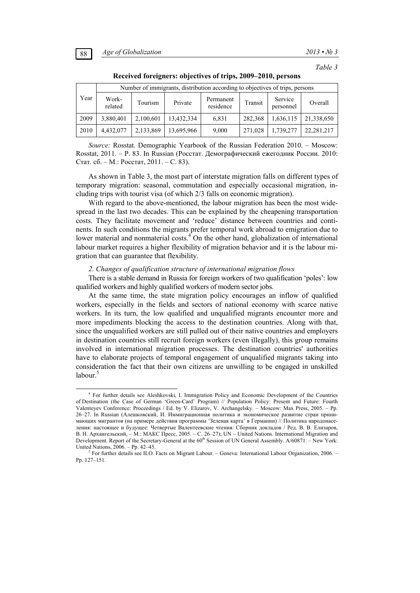*Table 3* 

|      |                  |           | Number of immigrants, distribution according to objectives of trips, persons |                        |         |                      |            |
|------|------------------|-----------|------------------------------------------------------------------------------|------------------------|---------|----------------------|------------|
| Year | Work-<br>related | Tourism   | Private                                                                      | Permanent<br>residence | Transit | Service<br>personnel | Overall    |
| 2009 | 3,880,401        | 2,100,601 | 13,432,334                                                                   | 6,831                  | 282,368 | 1,636,115            | 21,338,650 |
| 2010 | 4,432,077        | 2,133,869 | 13,695,966                                                                   | 9,000                  | 271,028 | 1,739,277            | 22,281,217 |

**Received foreigners: objectives of trips, 2009–2010, persons** 

*Source:* Rosstat. Demographic Yearbook of the Russian Federation 2010. – Moscow: Rosstat, 2011. – P. 83. In Russian (Росстат. Демографический ежегодник России. 2010: Стат. сб. – M.: Росстат, 2011. – С. 83).

As shown in Table 3, the most part of interstate migration falls on different types of temporary migration: seasonal, commutation and especially occasional migration, including trips with tourist visa (of which 2/3 falls on economic migration).

With regard to the above-mentioned, the labour migration has been the most widespread in the last two decades. This can be explained by the cheapening transportation costs. They facilitate movement and 'reduce' distance between countries and continents. In such conditions the migrants prefer temporal work abroad to emigration due to lower material and nonmaterial costs.<sup>4</sup> On the other hand, globalization of international labour market requires a higher flexibility of migration behavior and it is the labour migration that can guarantee that flexibility.

#### *2. Changes of qualification structure of international migration flows*

There is a stable demand in Russia for foreign workers of two qualification 'poles': low qualified workers and highly qualified workers of modern sector jobs.

At the same time, the state migration policy encourages an inflow of qualified workers, especially in the fields and sectors of national economy with scarce native workers. In its turn, the low qualified and unqualified migrants encounter more and more impediments blocking the access to the destination countries. Along with that, since the unqualified workers are still pulled out of their native countries and employers in destination countries still recruit foreign workers (even illegally), this group remains involved in international migration processes. The destination countries' authorities have to elaborate projects of temporal engagement of unqualified migrants taking into consideration the fact that their own citizens are unwilling to be engaged in unskilled  $labour<sup>5</sup>$ 

 $\overline{\phantom{a}}$  For further details see Aleshkovski, I. Immigration Policy and Economic Development of the Countries of Destination (the Case of German 'Green-Card' Program) // Population Policy: Present and Future: Fourth Valenteyev Conference: Proceedings / Ed. by V. Elizarov, V. Archangelsky. – Moscow: Max Press, 2005. – Pp. 26–27. In Russian (Алешковский, И. Иммиграционная политика и экономическое развитие стран принимающих мигрантов (на примере действия программы 'Зеленая карта' в Германии) // Политика народонаселения: настоящее и будущее: Четвертые Валентеевские чтения: Сборник докладов / Ред. В. В. Елизаров, В. Н. Архангельский, – М.: МАКС Пресс, 2005. – C. 26–27); UN – United Nations. International Migration and Development. Report of the Secretary-General at the 60<sup>th</sup> Session of UN General Assembly. A/60871. – New York: United Nations,  $2006. -$  Pp. 42–45.

<sup>&</sup>lt;sup>5</sup> For further details see ILO. Facts on Migrant Labour. – Geneva: International Labour Organization, 2006. – Pp. 127–151.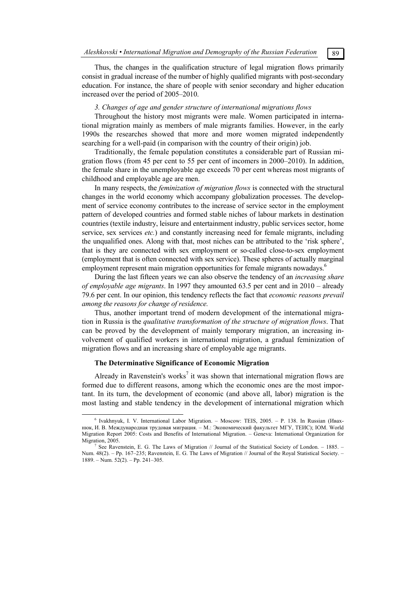Thus, the changes in the qualification structure of legal migration flows primarily consist in gradual increase of the number of highly qualified migrants with post-secondary education. For instance, the share of people with senior secondary and higher education increased over the period of 2005–2010.

## *3. Changes of age and gender structure of international migrations flows*

Throughout the history most migrants were male. Women participated in international migration mainly as members of male migrants families. However, in the early 1990s the researches showed that more and more women migrated independently searching for a well-paid (in comparison with the country of their origin) job.

Traditionally, the female population constitutes a considerable part of Russian migration flows (from 45 per cent to 55 per cent of incomers in 2000–2010). In addition, the female share in the unemployable age exceeds 70 per cent whereas most migrants of childhood and employable age are men.

In many respects, the *feminization of migration flows* is connected with the structural changes in the world economy which accompany globalization processes. The development of service economy contributes to the increase of service sector in the employment pattern of developed countries and formed stable niches of labour markets in destination countries (textile industry, leisure and entertainment industry, public services sector, home service, sex services *etc.*) and constantly increasing need for female migrants, including the unqualified ones. Along with that, most niches can be attributed to the 'risk sphere', that is they are connected with sex employment or so-called close-to-sex employment (employment that is often connected with sex service). These spheres of actually marginal employment represent main migration opportunities for female migrants nowadays.<sup>6</sup>

During the last fifteen years we can also observe the tendency of an *increasing share of employable age migrants*. In 1997 they amounted 63.5 per cent and in 2010 – already 79.6 per cent. In our opinion, this tendency reflects the fact that *economic reasons prevail among the reasons for change of residence.*

Thus, another important trend of modern development of the international migration in Russia is the *qualitative transformation of the structure of migration flows*. That can be proved by the development of mainly temporary migration, an increasing involvement of qualified workers in international migration, a gradual feminization of migration flows and an increasing share of employable age migrants.

## **The Determinative Significance of Economic Migration**

Already in Ravenstein's works<sup>7</sup> it was shown that international migration flows are formed due to different reasons, among which the economic ones are the most important. In its turn, the development of economic (and above all, labor) migration is the most lasting and stable tendency in the development of international migration which

 $\overline{6}$ <sup>6</sup> Ivakhnyuk, I. V. International Labor Migration. - Moscow: TEIS, 2005. - P. 138. In Russian (Ивахнюк, И. В. Международная трудовая миграция. – М.: Экономический факультет МГУ, ТЕИС); IOM. World Migration Report 2005: Costs and Benefits of International Migration. – Geneva: International Organization for Migration, 2005.

See Ravenstein, E. G. The Laws of Migration // Journal of the Statistical Society of London. *–* 1885. – Num. 48(2). – Pp. 167–235; Ravenstein, E. G. The Laws of Migration // Journal of the Royal Statistical Society. – 1889. – Num. 52(2). – Pp. 241–305.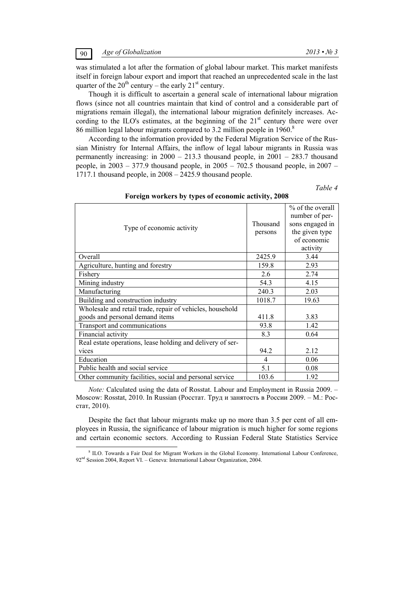was stimulated a lot after the formation of global labour market. This market manifests itself in foreign labour export and import that reached an unprecedented scale in the last quarter of the  $20^{th}$  century – the early  $21^{st}$  century.

Though it is difficult to ascertain a general scale of international labour migration flows (since not all countries maintain that kind of control and a considerable part of migrations remain illegal), the international labour migration definitely increases. According to the ILO's estimates, at the beginning of the  $21<sup>st</sup>$  century there were over 86 million legal labour migrants compared to 3.2 million people in 1960.<sup>8</sup>

According to the information provided by the Federal Migration Service of the Russian Ministry for Internal Affairs, the inflow of legal labour migrants in Russia was permanently increasing: in 2000 – 213.3 thousand people, in 2001 – 283.7 thousand people, in  $2003 - 377.9$  thousand people, in  $2005 - 702.5$  thousand people, in  $2007 -$ 1717.1 thousand people, in 2008 – 2425.9 thousand people.

*Table 4* 

| Foreign workers by types of economic activity, 2008 |  |  |  |  |  |  |  |  |
|-----------------------------------------------------|--|--|--|--|--|--|--|--|
|-----------------------------------------------------|--|--|--|--|--|--|--|--|

| Type of economic activity                                                                    | Thousand<br>persons | % of the overall<br>number of per-<br>sons engaged in<br>the given type<br>of economic<br>activity |
|----------------------------------------------------------------------------------------------|---------------------|----------------------------------------------------------------------------------------------------|
| Overall                                                                                      | 2425.9              | 3.44                                                                                               |
| Agriculture, hunting and forestry                                                            | 159.8               | 2.93                                                                                               |
| Fishery                                                                                      | 2.6                 | 2.74                                                                                               |
| Mining industry                                                                              | 54.3                | 4.15                                                                                               |
| Manufacturing                                                                                | 240.3               | 2.03                                                                                               |
| Building and construction industry                                                           | 1018.7              | 19.63                                                                                              |
| Wholesale and retail trade, repair of vehicles, household<br>goods and personal demand items | 411.8               | 3.83                                                                                               |
| Transport and communications                                                                 | 93.8                | 1.42                                                                                               |
| Financial activity                                                                           | 8.3                 | 0.64                                                                                               |
| Real estate operations, lease holding and delivery of ser-                                   |                     |                                                                                                    |
| vices                                                                                        | 94.2                | 2.12                                                                                               |
| Education                                                                                    | 4                   | 0.06                                                                                               |
| Public health and social service                                                             | 5.1                 | 0.08                                                                                               |
| Other community facilities, social and personal service                                      | 103.6               | 1.92                                                                                               |

*Note:* Calculated using the data of Rosstat. Labour and Employment in Russia 2009. – Moscow: Rosstat, 2010. In Russian (Росстат. Труд и занятость в России 2009. – М.: Росстат, 2010).

Despite the fact that labour migrants make up no more than 3.5 per cent of all employees in Russia, the significance of labour migration is much higher for some regions and certain economic sectors. According to Russian Federal State Statistics Service

 $\frac{1}{8}$ <sup>8</sup> ILO. Towards a Fair Deal for Migrant Workers in the Global Economy. International Labour Conference, 92<sup>nd</sup> Session 2004, Report VI. – Geneva: International Labour Organization, 2004.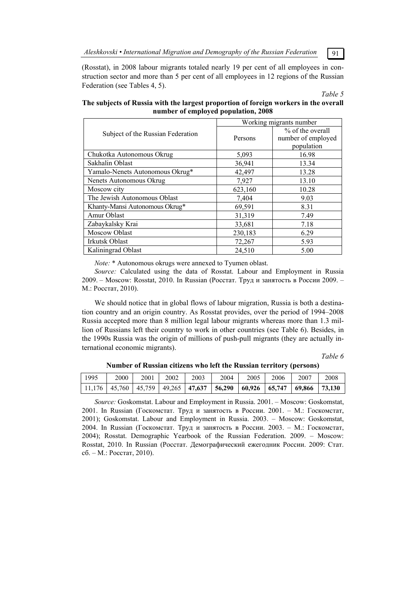*Aleshkovski • International Migration and Demography of the Russian Federation* 91

(Rosstat), in 2008 labour migrants totaled nearly 19 per cent of all employees in construction sector and more than 5 per cent of all employees in 12 regions of the Russian Federation (see Tables 4, 5).

*Table 5* 

|                                   | Working migrants number |                                                      |  |  |
|-----------------------------------|-------------------------|------------------------------------------------------|--|--|
| Subject of the Russian Federation | Persons                 | % of the overall<br>number of employed<br>population |  |  |
| Chukotka Autonomous Okrug         | 5,093                   | 16.98                                                |  |  |
| Sakhalin Oblast                   | 36,941                  | 13.34                                                |  |  |
| Yamalo-Nenets Autonomous Okrug*   | 42,497                  | 13.28                                                |  |  |
| Nenets Autonomous Okrug           | 7,927                   | 13.10                                                |  |  |
| Moscow city                       | 623,160                 | 10.28                                                |  |  |
| The Jewish Autonomous Oblast      | 7,404                   | 9.03                                                 |  |  |
| Khanty-Mansi Autonomous Okrug*    | 69,591                  | 8.31                                                 |  |  |
| Amur Oblast                       | 31,319                  | 7.49                                                 |  |  |
| Zabaykalsky Krai                  | 33,681                  | 7.18                                                 |  |  |
| Moscow Oblast                     | 230,183                 | 6.29                                                 |  |  |
| Irkutsk Oblast                    | 72,267                  | 5.93                                                 |  |  |
| Kaliningrad Oblast                | 24,510                  | 5.00                                                 |  |  |

**The subjects of Russia with the largest proportion of foreign workers in the overall number of employed population, 2008** 

*Note:* \* Autonomous okrugs were annexed to Tyumen oblast.

*Source:* Calculated using the data of Rosstat. Labour and Employment in Russia 2009. – Moscow: Rosstat, 2010. In Russian (Росстат. Труд и занятость в России 2009. – М.: Росстат, 2010).

We should notice that in global flows of labour migration, Russia is both a destination country and an origin country. As Rosstat provides, over the period of 1994–2008 Russia accepted more than 8 million legal labour migrants whereas more than 1.3 million of Russians left their country to work in other countries (see Table 6). Besides, in the 1990s Russia was the origin of millions of push-pull migrants (they are actually international economic migrants).

*Table 6* 

| 1995 | 2000 | 2001 | 2002 | 2003 | 2004                                                                                    | 2005 | 2006 | 2007 | 2008 |
|------|------|------|------|------|-----------------------------------------------------------------------------------------|------|------|------|------|
|      |      |      |      |      | 11,176   45,760   45,759   49,265   47,637   56,290   60,926   65,747   69,866   73,130 |      |      |      |      |

**Number of Russian citizens who left the Russian territory (persons)** 

*Source:* Goskomstat. Labour and Employment in Russia. 2001. – Moscow: Goskomstat, 2001. In Russian (Госкомстат. Труд и занятость в России. 2001. – М.: Госкомстат, 2001); Goskomstat. Labour and Employment in Russia. 2003. – Moscow: Goskomstat, 2004. In Russian (Госкомстат. Труд и занятость в России. 2003. – М.: Госкомстат, 2004); Rosstat. Demographic Yearbook of the Russian Federation. 2009. – Moscow: Rosstat, 2010. In Russian (Росстат. Демографический ежегодник России. 2009: Стат. сб. – M.: Росстат, 2010).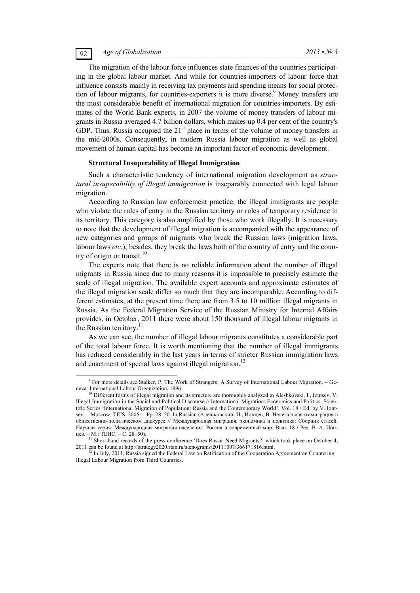## 92 *Age of Globalization 2013 • № 3*

The migration of the labour force influences state finances of the countries participating in the global labour market. And while for countries-importers of labour force that influence consists mainly in receiving tax payments and spending means for social protection of labour migrants, for countries-exporters it is more diverse.<sup>9</sup> Money transfers are the most considerable benefit of international migration for countries-importers. By estimates of the World Bank experts, in 2007 the volume of money transfers of labour migrants in Russia averaged 4.7 billion dollars, which makes up 0.4 per cent of the country's GDP. Thus, Russia occupied the  $21<sup>st</sup>$  place in terms of the volume of money transfers in the mid-2000s. Consequently, in modern Russia labour migration as well as global movement of human capital has become an important factor of economic development.

#### **Structural Insuperability of Illegal Immigration**

Such a characteristic tendency of international migration development as *structural insuperability of illegal immigration* is inseparably connected with legal labour migration.

According to Russian law enforcement practice, the illegal immigrants are people who violate the rules of entry in the Russian territory or rules of temporary residence in its territory. This category is also amplified by those who work illegally. It is necessary to note that the development of illegal migration is accompanied with the appearance of new categories and groups of migrants who break the Russian laws (migration laws, labour laws *etc.*); besides, they break the laws both of the country of entry and the country of origin or transit. $10$ 

The experts note that there is no reliable information about the number of illegal migrants in Russia since due to many reasons it is impossible to precisely estimate the scale of illegal migration. The available expert accounts and approximate estimates of the illegal migration scale differ so much that they are incomparable. According to different estimates, at the present time there are from 3.5 to 10 million illegal migrants in Russia. As the Federal Migration Service of the Russian Ministry for Internal Affairs provides, in October, 2011 there were about 150 thousand of illegal labour migrants in the Russian territory.<sup>11</sup>

As we can see, the number of illegal labour migrants constitutes a considerable part of the total labour force. It is worth mentioning that the number of illegal immigrants has reduced considerably in the last years in terms of stricter Russian immigration laws and enactment of special laws against illegal migration.<sup>12</sup>

 $\frac{1}{\sqrt{9}}$ <sup>9</sup> For more details see Stalker, P. The Work of Strangers: A Survey of International Labour Migration. – Geneva: International Labour Organization, 1996.

Different forms of illegal migration and its structure are thoroughly analyzed in Aleshkovski, I., Iontsev, V. Illegal Immigration in the Social and Political Discourse // International Migration: Economics and Politics. Scientific Series 'International Migration of Population: Russia and the Contemporary World'. Vol. 18 / Ed. by V. Iontsev. – Moscow: TEIS, 2006. – Pp. 28–50. In Russian (Алешковский, И., Ионцев, В. Нелегальная иммиграция в общественно-политическом дискурсе // Международная миграция: экономика и политика: Сборник статей. Научная серия: Международная миграция населения: Россия и современный мир; Вып. 18 **/** Ред. В. А. Ионцев. – М.: ТЕИС. – С. 28–50). 11 Short-hand records of the press conference 'Does Russia Need Migrants?' which took place on October 4,

<sup>2011</sup> can be found at http://strategy2020.rian.ru/stenograms/20111007/366171816.html.<br><sup>12</sup> In July, 2011, Russia signed the Federal Law on Ratification of the Cooperation Agreement on Countering

Illegal Labour Migration from Third Countries.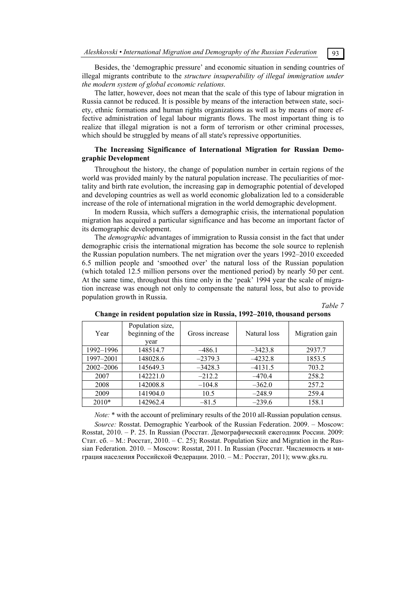Besides, the 'demographic pressure' and economic situation in sending countries of illegal migrants contribute to the *structure insuperability of illegal immigration under the modern system of global economic relations.*

The latter, however, does not mean that the scale of this type of labour migration in Russia cannot be reduced. It is possible by means of the interaction between state, society, ethnic formations and human rights organizations as well as by means of more effective administration of legal labour migrants flows. The most important thing is to realize that illegal migration is not a form of terrorism or other criminal processes, which should be struggled by means of all state's repressive opportunities.

## **The Increasing Significance of International Migration for Russian Demographic Development**

Throughout the history, the change of population number in certain regions of the world was provided mainly by the natural population increase. The peculiarities of mortality and birth rate evolution, the increasing gap in demographic potential of developed and developing countries as well as world economic globalization led to a considerable increase of the role of international migration in the world demographic development.

In modern Russia, which suffers a demographic crisis, the international population migration has acquired a particular significance and has become an important factor of its demographic development.

The *demographic* advantages of immigration to Russia consist in the fact that under demographic crisis the international migration has become the sole source to replenish the Russian population numbers. The net migration over the years 1992–2010 exceeded 6.5 million people and 'smoothed over' the natural loss of the Russian population (which totaled 12.5 million persons over the mentioned period) by nearly 50 per cent. At the same time, throughout this time only in the 'peak' 1994 year the scale of migration increase was enough not only to compensate the natural loss, but also to provide population growth in Russia.

## *Table 7*

| Year      | Population size,<br>beginning of the<br>vear | Gross increase | Natural loss | Migration gain |
|-----------|----------------------------------------------|----------------|--------------|----------------|
| 1992–1996 | 148514.7                                     | $-486.1$       | $-3423.8$    | 2937.7         |
| 1997-2001 | 148028.6                                     | $-2379.3$      | $-4232.8$    | 1853.5         |
| 2002-2006 | 145649.3                                     | $-3428.3$      | $-4131.5$    | 703.2          |
| 2007      | 142221.0                                     | $-212.2$       | $-470.4$     | 258.2          |
| 2008      | 142008.8                                     | $-104.8$       | $-362.0$     | 257.2          |
| 2009      | 141904.0                                     | 10.5           | $-248.9$     | 259.4          |
| 2010*     | 142962.4                                     | $-81.5$        | $-239.6$     | 158.1          |

#### **Change in resident population size in Russia, 1992–2010, thousand persons**

*Note:*  $*$  with the account of preliminary results of the 2010 all-Russian population census.

*Source:* Rosstat. Demographic Yearbook of the Russian Federation. 2009. – Moscow: Rosstat, 2010. – Р. 25. In Russian (Росстат. Демографический ежегодник России. 2009: Стат. сб. – M.: Росстат, 2010. – С. 25); Rosstat. Population Size and Migration in the Russian Federation. 2010. – Moscow: Rosstat, 2011. In Russian (Росстат. Численность и миграция населения Российской Федерации. 2010. – М.: Росстат, 2011); www.gks.ru.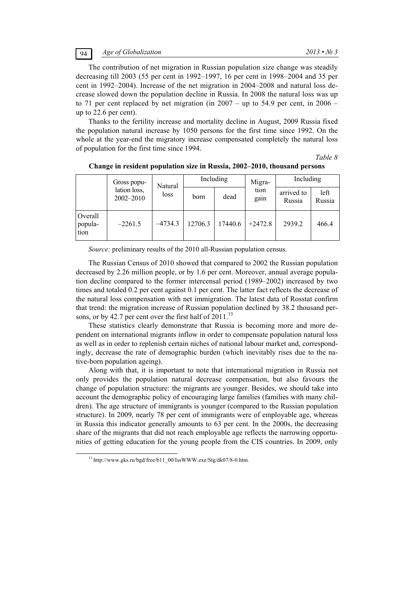The contribution of net migration in Russian population size change was steadily decreasing till 2003 (55 per cent in 1992–1997, 16 per cent in 1998–2004 and 35 per cent in 1992–2004). Increase of the net migration in 2004–2008 and natural loss decrease slowed down the population decline in Russia. In 2008 the natural loss was up to 71 per cent replaced by net migration (in  $2007 -$ up to 54.9 per cent, in  $2006$ up to 22.6 per cent).

Thanks to the fertility increase and mortality decline in August, 2009 Russia fixed the population natural increase by 1050 persons for the first time since 1992. On the whole at the year-end the migratory increase compensated completely the natural loss of population for the first time since 1994.

*Table 8* 

|                            | Gross popu-               | Natural   | Including |         |              |                      | Migra-         | Including |  |
|----------------------------|---------------------------|-----------|-----------|---------|--------------|----------------------|----------------|-----------|--|
|                            | lation loss,<br>2002-2010 | loss      | born      | dead    | tion<br>gain | arrived to<br>Russia | left<br>Russia |           |  |
| Overall<br>popula-<br>tion | $-2261.5$                 | $-4734.3$ | 12706.3   | 17440.6 | $+2472.8$    | 2939.2               | 466.4          |           |  |

**Change in resident population size in Russia, 2002–2010, thousand persons** 

*Source:* preliminary results of the 2010 all-Russian population census.

The Russian Census of 2010 showed that compared to 2002 the Russian population decreased by 2.26 million people, or by 1.6 per cent. Moreover, annual average population decline compared to the former intercensal period (1989–2002) increased by two times and totaled 0.2 per cent against 0.1 per cent. The latter fact reflects the decrease of the natural loss compensation with net immigration. The latest data of Rosstat confirm that trend: the migration increase of Russian population declined by 38.2 thousand persons, or by 42.7 per cent over the first half of  $2011$ <sup>13</sup>

These statistics clearly demonstrate that Russia is becoming more and more dependent on international migrants inflow in order to compensate population natural loss as well as in order to replenish certain niches of national labour market and, correspondingly, decrease the rate of demographic burden (which inevitably rises due to the native-born population ageing).

Along with that, it is important to note that international migration in Russia not only provides the population natural decrease compensation, but also favours the change of population structure: the migrants are younger. Besides, we should take into account the demographic policy of encouraging large families (families with many children). The age structure of immigrants is younger (compared to the Russian population structure). In 2009, nearly 78 per cent of immigrants were of employable age, whereas in Russia this indicator generally amounts to 63 per cent. In the 2000s, the decreasing share of the migrants that did not reach employable age reflects the narrowing opportunities of getting education for the young people from the CIS countries. In 2009, only

<sup>&</sup>lt;sup>13</sup> http://www.gks.ru/bgd/free/b11\_00/IssWWW.exe/Stg/dk07/8-0.htm.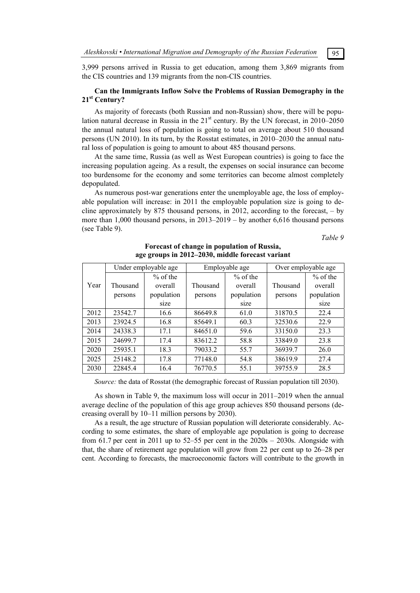3,999 persons arrived in Russia to get education, among them 3,869 migrants from the CIS countries and 139 migrants from the non-CIS countries.

## **Can the Immigrants Inflow Solve the Problems of Russian Demography in the 21st Century?**

As majority of forecasts (both Russian and non-Russian) show, there will be population natural decrease in Russia in the  $21<sup>st</sup>$  century. By the UN forecast, in 2010–2050 the annual natural loss of population is going to total on average about 510 thousand persons (UN 2010). In its turn, by the Rosstat estimates, in 2010–2030 the annual natural loss of population is going to amount to about 485 thousand persons.

At the same time, Russia (as well as West European countries) is going to face the increasing population ageing. As a result, the expenses on social insurance can become too burdensome for the economy and some territories can become almost completely depopulated.

As numerous post-war generations enter the unemployable age, the loss of employable population will increase: in 2011 the employable population size is going to decline approximately by 875 thousand persons, in 2012, according to the forecast,  $-$  by more than 1,000 thousand persons, in 2013–2019 – by another 6,616 thousand persons (see Table 9).

*Table 9* 

|      | Under employable age |            | Employable age |            | Over employable age |            |
|------|----------------------|------------|----------------|------------|---------------------|------------|
|      |                      | $%$ of the |                | $%$ of the |                     | $%$ of the |
| Year | Thousand             | overall    | Thousand       | overall    | Thousand            | overall    |
|      | persons              | population | persons        | population | persons             | population |
|      |                      | size       |                | size       |                     | size       |
| 2012 | 23542.7              | 16.6       | 86649.8        | 61.0       | 31870.5             | 22.4       |
| 2013 | 23924.5              | 16.8       | 85649.1        | 60.3       | 32530.6             | 22.9       |
| 2014 | 24338.3              | 17.1       | 84651.0        | 59.6       | 33150.0             | 23.3       |
| 2015 | 24699.7              | 17.4       | 83612.2        | 58.8       | 33849.0             | 23.8       |
| 2020 | 25935.1              | 18.3       | 79033.2        | 55.7       | 36939.7             | 26.0       |
| 2025 | 25148.2              | 17.8       | 77148.0        | 54.8       | 38619.9             | 27.4       |
| 2030 | 22845.4              | 16.4       | 76770.5        | 55.1       | 39755.9             | 28.5       |

## **Forecast of change in population of Russia, age groups in 2012–2030, middle forecast variant**

*Source:* the data of Rosstat (the demographic forecast of Russian population till 2030).

As shown in Table 9, the maximum loss will occur in 2011–2019 when the annual average decline of the population of this age group achieves 850 thousand persons (decreasing overall by 10–11 million persons by 2030).

As a result, the age structure of Russian population will deteriorate considerably. According to some estimates, the share of employable age population is going to decrease from 61.7 per cent in 2011 up to  $52-55$  per cent in the  $2020s - 2030s$ . Alongside with that, the share of retirement age population will grow from 22 per cent up to 26–28 per cent. According to forecasts, the macroeconomic factors will contribute to the growth in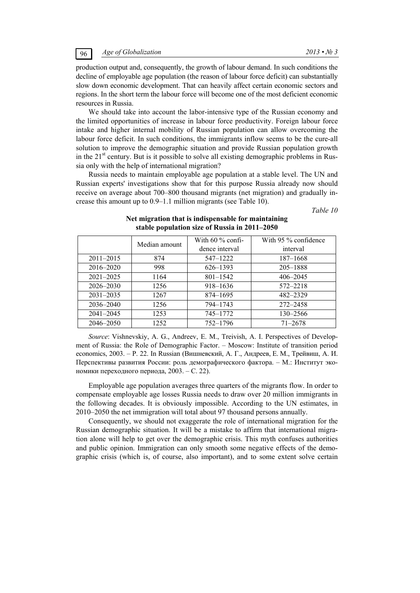production output and, consequently, the growth of labour demand. In such conditions the decline of employable age population (the reason of labour force deficit) can substantially slow down economic development. That can heavily affect certain economic sectors and regions. In the short term the labour force will become one of the most deficient economic resources in Russia.

We should take into account the labor-intensive type of the Russian economy and the limited opportunities of increase in labour force productivity. Foreign labour force intake and higher internal mobility of Russian population can allow overcoming the labour force deficit. In such conditions, the immigrants inflow seems to be the cure-all solution to improve the demographic situation and provide Russian population growth in the  $21<sup>st</sup>$  century. But is it possible to solve all existing demographic problems in Russia only with the help of international migration?

Russia needs to maintain employable age population at a stable level. The UN and Russian experts' investigations show that for this purpose Russia already now should receive on average about 700–800 thousand migrants (net migration) and gradually increase this amount up to 0.9–1.1 million migrants (see Table 10).

*Table 10* 

|               | Median amount | With $60\%$ confi- | With 95 $\%$ confidence |
|---------------|---------------|--------------------|-------------------------|
|               |               | dence interval     | interval                |
| $2011 - 2015$ | 874           | 547-1222           | 187–1668                |
| 2016-2020     | 998           | 626–1393           | 205-1888                |
| 2021-2025     | 1164          | $801 - 1542$       | $406 - 2045$            |
| 2026–2030     | 1256          | 918-1636           | 572-2218                |
| $2031 - 2035$ | 1267          | 874–1695           | 482-2329                |
| 2036–2040     | 1256          | 794-1743           | 272-2458                |
| $2041 - 2045$ | 1253          | 745-1772           | 130-2566                |
| 2046-2050     | 1252          | 752-1796           | $71 - 2678$             |

## **Net migration that is indispensable for maintaining stable population size of Russia in 2011–2050**

*Source*: Vishnevskiy, A. G., Andreev, E. M., Treivish, A. I. Perspectives of Development of Russia: the Role of Demographic Factor. – Moscow: Institute of transition period economics, 2003. – Р. 22. In Russian (Вишневский, А. Г., Андреев, Е. М., Трейвиш, А. И. Перспективы развития России: роль демографического фактора. – М.: Институт экономики переходного периода, 2003. – C. 22).

Employable age population averages three quarters of the migrants flow. In order to compensate employable age losses Russia needs to draw over 20 million immigrants in the following decades. It is obviously impossible. According to the UN estimates, in 2010–2050 the net immigration will total about 97 thousand persons annually.

Consequently, we should not exaggerate the role of international migration for the Russian demographic situation. It will be a mistake to affirm that international migration alone will help to get over the demographic crisis. This myth confuses authorities and public opinion. Immigration can only smooth some negative effects of the demographic crisis (which is, of course, also important), and to some extent solve certain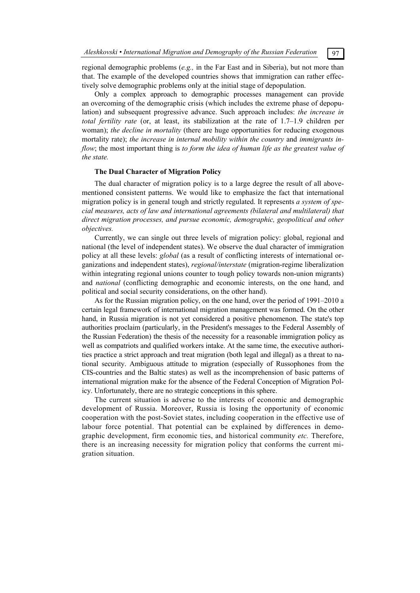regional demographic problems (*e.g.,* in the Far East and in Siberia), but not more than that. The example of the developed countries shows that immigration can rather effectively solve demographic problems only at the initial stage of depopulation.

Only a complex approach to demographic processes management can provide an overcoming of the demographic crisis (which includes the extreme phase of depopulation) and subsequent progressive advance. Such approach includes: *the increase in total fertility rate* (or, at least, its stabilization at the rate of 1.7–1.9 children per woman); *the decline in mortality* (there are huge opportunities for reducing exogenous mortality rate); *the increase in internal mobility within the country* and *immigrants inflow*; the most important thing is *to form the idea of human life as the greatest value of the state.*

### **The Dual Character of Migration Policy**

The dual character of migration policy is to a large degree the result of all abovementioned consistent patterns. We would like to emphasize the fact that international migration policy is in general tough and strictly regulated. It represents *a system of special measures, acts of law and international agreements (bilateral and multilateral) that direct migration processes, and pursue economic, demographic, geopolitical and other objectives.*

Currently, we can single out three levels of migration policy: global, regional and national (the level of independent states). We observe the dual character of immigration policy at all these levels: *global* (as a result of conflicting interests of international organizations and independent states), *regional/interstate* (migration-regime liberalization within integrating regional unions counter to tough policy towards non-union migrants) and *national* (conflicting demographic and economic interests, on the one hand, and political and social security considerations, on the other hand).

As for the Russian migration policy, on the one hand, over the period of 1991–2010 a certain legal framework of international migration management was formed. On the other hand, in Russia migration is not yet considered a positive phenomenon. The state's top authorities proclaim (particularly, in the President's messages to the Federal Assembly of the Russian Federation) the thesis of the necessity for a reasonable immigration policy as well as compatriots and qualified workers intake. At the same time, the executive authorities practice a strict approach and treat migration (both legal and illegal) as a threat to national security. Ambiguous attitude to migration (especially of Russophones from the CIS-countries and the Baltic states) as well as the incomprehension of basic patterns of international migration make for the absence of the Federal Conception of Migration Policy. Unfortunately, there are no strategic conceptions in this sphere.

The current situation is adverse to the interests of economic and demographic development of Russia. Moreover, Russia is losing the opportunity of economic cooperation with the post-Soviet states, including cooperation in the effective use of labour force potential. That potential can be explained by differences in demographic development, firm economic ties, and historical community *etc.* Therefore, there is an increasing necessity for migration policy that conforms the current migration situation.